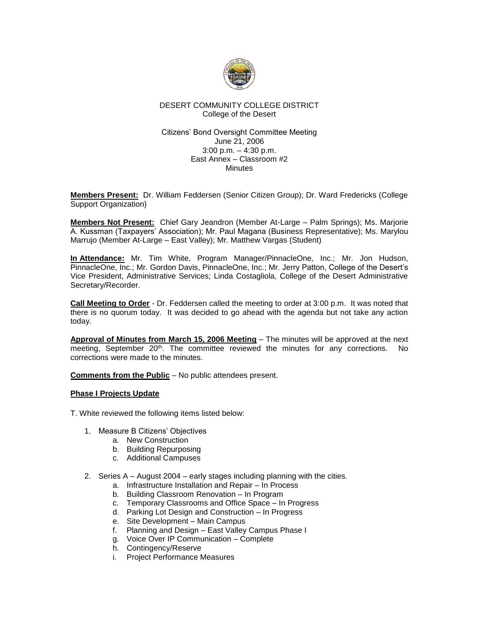

# DESERT COMMUNITY COLLEGE DISTRICT College of the Desert

#### Citizens' Bond Oversight Committee Meeting June 21, 2006 3:00 p.m. – 4:30 p.m. East Annex – Classroom #2 **Minutes**

**Members Present:** Dr. William Feddersen (Senior Citizen Group); Dr. Ward Fredericks (College Support Organization)

**Members Not Present:** Chief Gary Jeandron (Member At-Large – Palm Springs); Ms. Marjorie A. Kussman (Taxpayers' Association); Mr. Paul Magana (Business Representative); Ms. Marylou Marrujo (Member At-Large – East Valley); Mr. Matthew Vargas (Student)

**In Attendance:** Mr. Tim White, Program Manager/PinnacleOne, Inc.; Mr. Jon Hudson, PinnacleOne, Inc.; Mr. Gordon Davis, PinnacleOne, Inc.; Mr. Jerry Patton, College of the Desert's Vice President, Administrative Services; Linda Costagliola, College of the Desert Administrative Secretary/Recorder.

**Call Meeting to Order** - Dr. Feddersen called the meeting to order at 3:00 p.m. It was noted that there is no quorum today. It was decided to go ahead with the agenda but not take any action today.

**Approval of Minutes from March 15, 2006 Meeting** – The minutes will be approved at the next meeting, September 20<sup>th</sup>. The committee reviewed the minutes for any corrections. No corrections were made to the minutes.

**Comments from the Public** – No public attendees present.

# **Phase I Projects Update**

T. White reviewed the following items listed below:

- 1. Measure B Citizens' Objectives
	- a. New Construction
	- b. Building Repurposing
	- c. Additional Campuses
- 2. Series A August 2004 early stages including planning with the cities.
	- a. Infrastructure Installation and Repair In Process
	- b. Building Classroom Renovation In Program
	- c. Temporary Classrooms and Office Space In Progress
	- d. Parking Lot Design and Construction In Progress
	- e. Site Development Main Campus
	- f. Planning and Design East Valley Campus Phase I
	- g. Voice Over IP Communication Complete
	- h. Contingency/Reserve
	- i. Project Performance Measures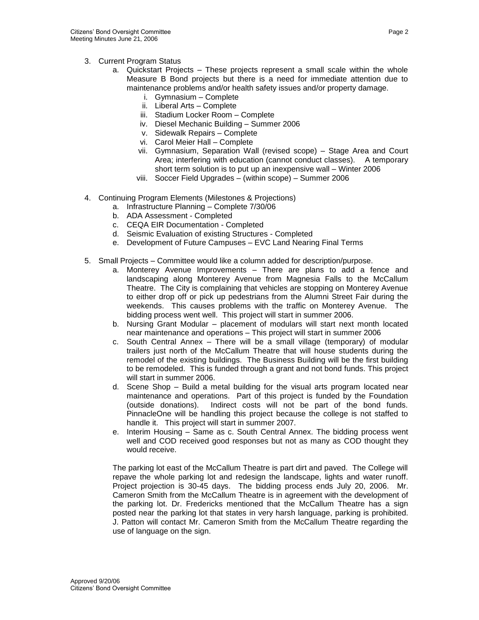- 3. Current Program Status
	- a. Quickstart Projects These projects represent a small scale within the whole Measure B Bond projects but there is a need for immediate attention due to maintenance problems and/or health safety issues and/or property damage.
		- i. Gymnasium Complete
		- ii. Liberal Arts Complete
		- iii. Stadium Locker Room Complete
		- iv. Diesel Mechanic Building Summer 2006
		- v. Sidewalk Repairs Complete
		- vi. Carol Meier Hall Complete
		- vii. Gymnasium, Separation Wall (revised scope) Stage Area and Court Area; interfering with education (cannot conduct classes). A temporary short term solution is to put up an inexpensive wall – Winter 2006
		- viii. Soccer Field Upgrades (within scope) Summer 2006
- 4. Continuing Program Elements (Milestones & Projections)
	- a. Infrastructure Planning Complete 7/30/06
	- b. ADA Assessment Completed
	- c. CEQA EIR Documentation Completed
	- d. Seismic Evaluation of existing Structures Completed
	- e. Development of Future Campuses EVC Land Nearing Final Terms
- 5. Small Projects Committee would like a column added for description/purpose.
	- a. Monterey Avenue Improvements There are plans to add a fence and landscaping along Monterey Avenue from Magnesia Falls to the McCallum Theatre. The City is complaining that vehicles are stopping on Monterey Avenue to either drop off or pick up pedestrians from the Alumni Street Fair during the weekends. This causes problems with the traffic on Monterey Avenue. The bidding process went well. This project will start in summer 2006.
	- b. Nursing Grant Modular placement of modulars will start next month located near maintenance and operations – This project will start in summer 2006
	- c. South Central Annex There will be a small village (temporary) of modular trailers just north of the McCallum Theatre that will house students during the remodel of the existing buildings. The Business Building will be the first building to be remodeled. This is funded through a grant and not bond funds. This project will start in summer 2006.
	- d. Scene Shop Build a metal building for the visual arts program located near maintenance and operations. Part of this project is funded by the Foundation (outside donations). Indirect costs will not be part of the bond funds. PinnacleOne will be handling this project because the college is not staffed to handle it. This project will start in summer 2007.
	- e. Interim Housing Same as c. South Central Annex. The bidding process went well and COD received good responses but not as many as COD thought they would receive.

The parking lot east of the McCallum Theatre is part dirt and paved. The College will repave the whole parking lot and redesign the landscape, lights and water runoff. Project projection is 30-45 days. The bidding process ends July 20, 2006. Mr. Cameron Smith from the McCallum Theatre is in agreement with the development of the parking lot. Dr. Fredericks mentioned that the McCallum Theatre has a sign posted near the parking lot that states in very harsh language, parking is prohibited. J. Patton will contact Mr. Cameron Smith from the McCallum Theatre regarding the use of language on the sign.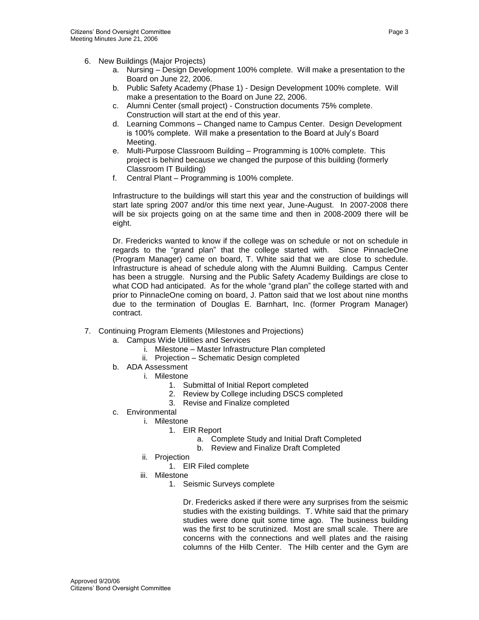- 6. New Buildings (Major Projects)
	- a. Nursing Design Development 100% complete. Will make a presentation to the Board on June 22, 2006.
	- b. Public Safety Academy (Phase 1) Design Development 100% complete. Will make a presentation to the Board on June 22, 2006.
	- c. Alumni Center (small project) Construction documents 75% complete. Construction will start at the end of this year.
	- d. Learning Commons Changed name to Campus Center. Design Development is 100% complete. Will make a presentation to the Board at July's Board Meeting.
	- e. Multi-Purpose Classroom Building Programming is 100% complete. This project is behind because we changed the purpose of this building (formerly Classroom IT Building)
	- f. Central Plant Programming is 100% complete.

Infrastructure to the buildings will start this year and the construction of buildings will start late spring 2007 and/or this time next year, June-August. In 2007-2008 there will be six projects going on at the same time and then in 2008-2009 there will be eight.

Dr. Fredericks wanted to know if the college was on schedule or not on schedule in regards to the "grand plan" that the college started with. Since PinnacleOne (Program Manager) came on board, T. White said that we are close to schedule. Infrastructure is ahead of schedule along with the Alumni Building. Campus Center has been a struggle. Nursing and the Public Safety Academy Buildings are close to what COD had anticipated. As for the whole "grand plan" the college started with and prior to PinnacleOne coming on board, J. Patton said that we lost about nine months due to the termination of Douglas E. Barnhart, Inc. (former Program Manager) contract.

- 7. Continuing Program Elements (Milestones and Projections)
	- a. Campus Wide Utilities and Services
		- i. Milestone Master Infrastructure Plan completed
		- ii. Projection Schematic Design completed
	- b. ADA Assessment
		- i. Milestone
			- 1. Submittal of Initial Report completed
			- 2. Review by College including DSCS completed
			- 3. Revise and Finalize completed
	- c. Environmental
		- i. Milestone
			- 1. EIR Report
				- a. Complete Study and Initial Draft Completed
				- b. Review and Finalize Draft Completed
		- ii. Projection
			- 1. EIR Filed complete
		- iii. Milestone
			- 1. Seismic Surveys complete

Dr. Fredericks asked if there were any surprises from the seismic studies with the existing buildings. T. White said that the primary studies were done quit some time ago. The business building was the first to be scrutinized. Most are small scale. There are concerns with the connections and well plates and the raising columns of the Hilb Center. The Hilb center and the Gym are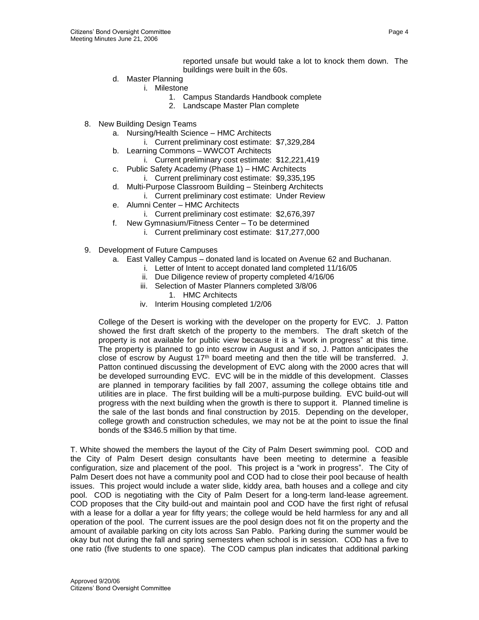reported unsafe but would take a lot to knock them down. The buildings were built in the 60s.

- d. Master Planning
	- i. Milestone
		- 1. Campus Standards Handbook complete
		- 2. Landscape Master Plan complete
- 8. New Building Design Teams
	- a. Nursing/Health Science HMC Architects
		- i. Current preliminary cost estimate: \$7,329,284
	- b. Learning Commons WWCOT Architects
		- i. Current preliminary cost estimate: \$12,221,419
	- c. Public Safety Academy (Phase 1) HMC Architects
		- i. Current preliminary cost estimate: \$9,335,195
	- d. Multi-Purpose Classroom Building Steinberg Architects
		- i. Current preliminary cost estimate: Under Review
	- e. Alumni Center HMC Architects
		- i. Current preliminary cost estimate: \$2,676,397
	- f. New Gymnasium/Fitness Center To be determined
		- i. Current preliminary cost estimate: \$17,277,000
- 9. Development of Future Campuses
	- a. East Valley Campus donated land is located on Avenue 62 and Buchanan.
		- i. Letter of Intent to accept donated land completed 11/16/05
		- ii. Due Diligence review of property completed 4/16/06
		- iii. Selection of Master Planners completed 3/8/06
			- 1. HMC Architects
		- iv. Interim Housing completed 1/2/06

College of the Desert is working with the developer on the property for EVC. J. Patton showed the first draft sketch of the property to the members. The draft sketch of the property is not available for public view because it is a "work in progress" at this time. The property is planned to go into escrow in August and if so, J. Patton anticipates the close of escrow by August 17<sup>th</sup> board meeting and then the title will be transferred. J. Patton continued discussing the development of EVC along with the 2000 acres that will be developed surrounding EVC. EVC will be in the middle of this development. Classes are planned in temporary facilities by fall 2007, assuming the college obtains title and utilities are in place. The first building will be a multi-purpose building. EVC build-out will progress with the next building when the growth is there to support it. Planned timeline is the sale of the last bonds and final construction by 2015. Depending on the developer, college growth and construction schedules, we may not be at the point to issue the final bonds of the \$346.5 million by that time.

T. White showed the members the layout of the City of Palm Desert swimming pool. COD and the City of Palm Desert design consultants have been meeting to determine a feasible configuration, size and placement of the pool. This project is a "work in progress". The City of Palm Desert does not have a community pool and COD had to close their pool because of health issues. This project would include a water slide, kiddy area, bath houses and a college and city pool. COD is negotiating with the City of Palm Desert for a long-term land-lease agreement. COD proposes that the City build-out and maintain pool and COD have the first right of refusal with a lease for a dollar a year for fifty years; the college would be held harmless for any and all operation of the pool. The current issues are the pool design does not fit on the property and the amount of available parking on city lots across San Pablo. Parking during the summer would be okay but not during the fall and spring semesters when school is in session. COD has a five to one ratio (five students to one space). The COD campus plan indicates that additional parking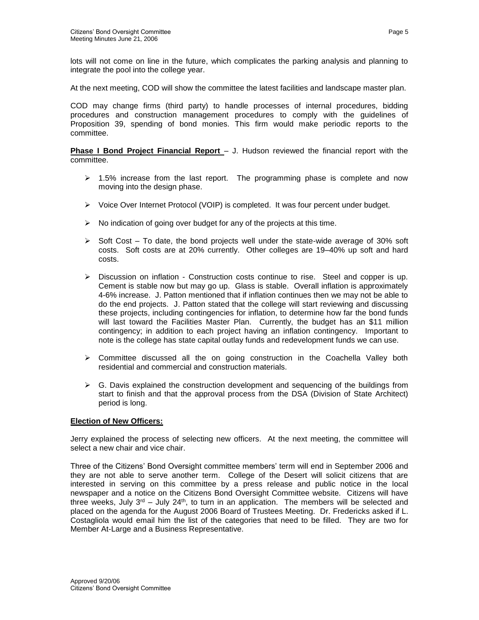lots will not come on line in the future, which complicates the parking analysis and planning to integrate the pool into the college year.

At the next meeting, COD will show the committee the latest facilities and landscape master plan.

COD may change firms (third party) to handle processes of internal procedures, bidding procedures and construction management procedures to comply with the guidelines of Proposition 39, spending of bond monies. This firm would make periodic reports to the committee.

**Phase I Bond Project Financial Report** – J. Hudson reviewed the financial report with the committee.

- $\geq$  1.5% increase from the last report. The programming phase is complete and now moving into the design phase.
- ➢ Voice Over Internet Protocol (VOIP) is completed. It was four percent under budget.
- $\triangleright$  No indication of going over budget for any of the projects at this time.
- $\triangleright$  Soft Cost To date, the bond projects well under the state-wide average of 30% soft costs. Soft costs are at 20% currently. Other colleges are 19–40% up soft and hard costs.
- $\triangleright$  Discussion on inflation Construction costs continue to rise. Steel and copper is up. Cement is stable now but may go up. Glass is stable. Overall inflation is approximately 4-6% increase. J. Patton mentioned that if inflation continues then we may not be able to do the end projects. J. Patton stated that the college will start reviewing and discussing these projects, including contingencies for inflation, to determine how far the bond funds will last toward the Facilities Master Plan. Currently, the budget has an \$11 million contingency; in addition to each project having an inflation contingency. Important to note is the college has state capital outlay funds and redevelopment funds we can use.
- $\triangleright$  Committee discussed all the on going construction in the Coachella Valley both residential and commercial and construction materials.
- $\triangleright$  G. Davis explained the construction development and sequencing of the buildings from start to finish and that the approval process from the DSA (Division of State Architect) period is long.

#### **Election of New Officers:**

Jerry explained the process of selecting new officers. At the next meeting, the committee will select a new chair and vice chair.

Three of the Citizens' Bond Oversight committee members' term will end in September 2006 and they are not able to serve another term. College of the Desert will solicit citizens that are interested in serving on this committee by a press release and public notice in the local newspaper and a notice on the Citizens Bond Oversight Committee website. Citizens will have three weeks, July  $3^{rd}$  – July 24<sup>th</sup>, to turn in an application. The members will be selected and placed on the agenda for the August 2006 Board of Trustees Meeting. Dr. Fredericks asked if L. Costagliola would email him the list of the categories that need to be filled. They are two for Member At-Large and a Business Representative.